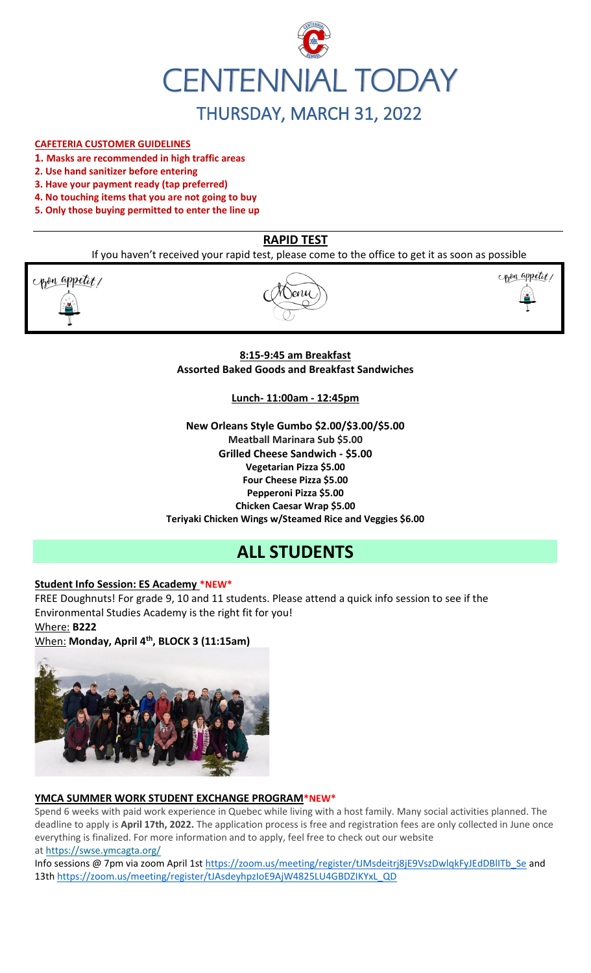

#### **CAFETERIA CUSTOMER GUIDELINES**

- **1. Masks are recommended in high traffic areas**
- **2. Use hand sanitizer before entering**
- **3. Have your payment ready (tap preferred)**
- **4. No touching items that you are not going to buy**
- **5. Only those buying permitted to enter the line up**

# **RAPID TEST**

If you haven't received your rapid test, please come to the office to get it as soon as possible

pon appetit!





## **8:15-9:45 am Breakfast Assorted Baked Goods and Breakfast Sandwiches**

#### **Lunch- 11:00am - 12:45pm**

**New Orleans Style Gumbo \$2.00/\$3.00/\$5.00 Meatball Marinara Sub \$5.00 Grilled Cheese Sandwich - \$5.00 Vegetarian Pizza \$5.00 Four Cheese Pizza \$5.00 Pepperoni Pizza \$5.00 Chicken Caesar Wrap \$5.00 Teriyaki Chicken Wings w/Steamed Rice and Veggies \$6.00**

# **ALL STUDENTS**

## **Student Info Session: ES Academy \*NEW\***

FREE Doughnuts! For grade 9, 10 and 11 students. Please attend a quick info session to see if the Environmental Studies Academy is the right fit for you! Where: **B222**

When: **Monday, April 4th, BLOCK 3 (11:15am)**



## **YMCA SUMMER WORK STUDENT EXCHANGE PROGRAM\*NEW\***

Spend 6 weeks with paid work experience in Quebec while living with a host family. Many social activities planned. The deadline to apply is **April 17th, 2022.** The application process is free and registration fees are only collected in June once everything is finalized. For more information and to apply, feel free to check out our website at <https://swse.ymcagta.org/>

Info sessions @ 7pm via zoom April 1s[t https://zoom.us/meeting/register/tJMsdeitrj8jE9VszDwlqkFyJEdDBlITb\\_Se](https://zoom.us/meeting/register/tJMsdeitrj8jE9VszDwlqkFyJEdDBlITb_Se) and 13th [https://zoom.us/meeting/register/tJAsdeyhpzIoE9AjW4825LU4GBDZIKYxL\\_QD](https://zoom.us/meeting/register/tJAsdeyhpzIoE9AjW4825LU4GBDZIKYxL_QD)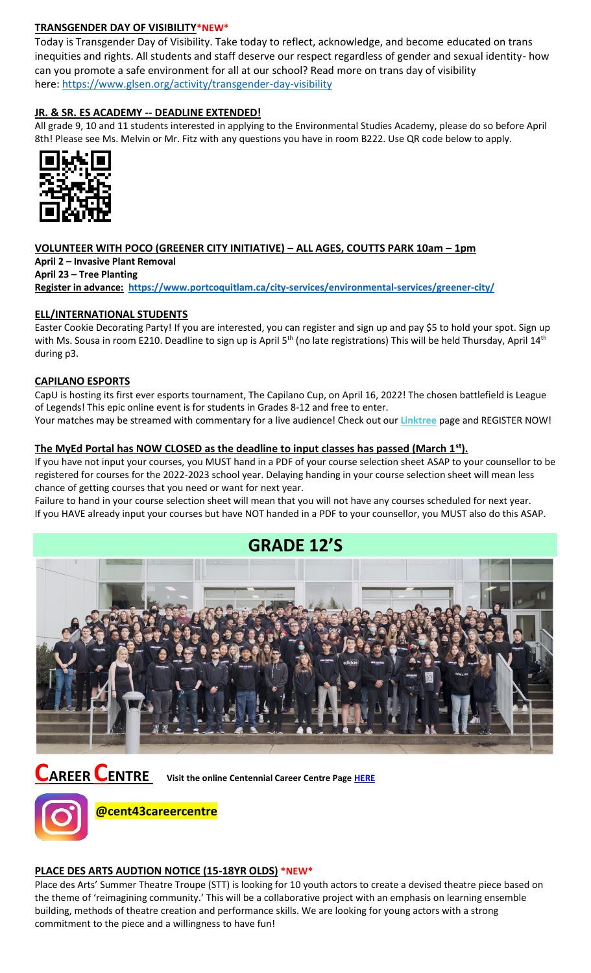## **TRANSGENDER DAY OF VISIBILITY\*NEW\***

Today is Transgender Day of Visibility. Take today to reflect, acknowledge, and become educated on trans inequities and rights. All students and staff deserve our respect regardless of gender and sexual identity- how can you promote a safe environment for all at our school? Read more on trans day of visibility here: <https://www.glsen.org/activity/transgender-day-visibility>

## **JR. & SR. ES ACADEMY -- DEADLINE EXTENDED!**

All grade 9, 10 and 11 students interested in applying to the Environmental Studies Academy, please do so before April 8th! Please see Ms. Melvin or Mr. Fitz with any questions you have in room B222. Use QR code below to apply.



# **VOLUNTEER WITH POCO (GREENER CITY INITIATIVE) – ALL AGES, COUTTS PARK 10am – 1pm**

**April 2 – Invasive Plant Removal**

**April 23 – Tree Planting Register in advance: <https://www.portcoquitlam.ca/city-services/environmental-services/greener-city/>**

## **ELL/INTERNATIONAL STUDENTS**

Easter Cookie Decorating Party! If you are interested, you can register and sign up and pay \$5 to hold your spot. Sign up with Ms. Sousa in room E210. Deadline to sign up is April 5<sup>th</sup> (no late registrations) This will be held Thursday, April 14<sup>th</sup> during p3.

## **CAPILANO ESPORTS**

CapU is hosting its first ever esports tournament, The Capilano Cup, on April 16, 2022! The chosen battlefield is League of Legends! This epic online event is for students in Grades 8-12 and free to enter.

Your matches may be streamed with commentary for a live audience! Check out our **[Linktree](https://r20.rs6.net/tn.jsp?f=001TV5t6hvFEFpmqZ2KIJsRm_8_tZvmBTskK5EZhuhAwnd-AsBblXHT0oLCkv240W_X6yn70vNSoZMhpHydzQFokmFJte1QihkOmWyHEEdpefQQkF2m95hL64lqlrIm0DP1OmyM7kg-aupFxN5c0Zflag==&c=xWxYCxrh0jI56wNEyWlUltDjoDxbuS7cAkcm-CGdbhXD_wkXysw4wQ==&ch=hXVfGtAgW-ZP40ONb-DXcfozpnjfYR8-9naNHp1boINpgvZcTLJVsw==)** page and REGISTER NOW!

## **The MyEd Portal has NOW CLOSED as the deadline to input classes has passed (March 1st).**

If you have not input your courses, you MUST hand in a PDF of your course selection sheet ASAP to your counsellor to be registered for courses for the 2022-2023 school year. Delaying handing in your course selection sheet will mean less chance of getting courses that you need or want for next year.

Failure to hand in your course selection sheet will mean that you will not have any courses scheduled for next year. If you HAVE already input your courses but have NOT handed in a PDF to your counsellor, you MUST also do this ASAP.



**CAREER CENTRE Visit the online Centennial Career Centre Page [HERE](https://www.sd43.bc.ca/school/centennial/ProgramsServices/CareerCentre/experiences/Pages/default.aspx#/=)**



**@cent43careercentre** 

## **PLACE DES ARTS AUDTION NOTICE (15-18YR OLDS) \*NEW\***

Place des Arts' Summer Theatre Troupe (STT) is looking for 10 youth actors to create a devised theatre piece based on the theme of 'reimagining community.' This will be a collaborative project with an emphasis on learning ensemble building, methods of theatre creation and performance skills. We are looking for young actors with a strong commitment to the piece and a willingness to have fun!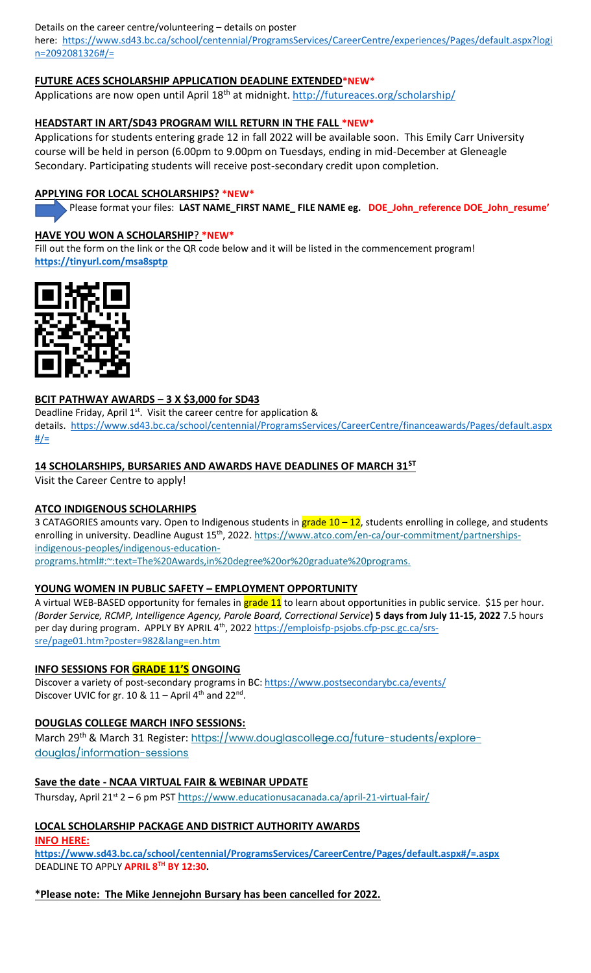Details on the career centre/volunteering – details on poster

here: [https://www.sd43.bc.ca/school/centennial/ProgramsServices/CareerCentre/experiences/Pages/default.aspx?logi](https://www.sd43.bc.ca/school/centennial/ProgramsServices/CareerCentre/experiences/Pages/default.aspx?login=2092081326#/=) [n=2092081326#/=](https://www.sd43.bc.ca/school/centennial/ProgramsServices/CareerCentre/experiences/Pages/default.aspx?login=2092081326#/=)

## **FUTURE ACES SCHOLARSHIP APPLICATION DEADLINE EXTENDED\*NEW\***

Applications are now open until April 18<sup>th</sup> at midnight.<http://futureaces.org/scholarship/>

## **HEADSTART IN ART/SD43 PROGRAM WILL RETURN IN THE FALL \*NEW\***

Applications for students entering grade 12 in fall 2022 will be available soon. This Emily Carr University course will be held in person (6.00pm to 9.00pm on Tuesdays, ending in mid-December at Gleneagle Secondary. Participating students will receive post-secondary credit upon completion.

## **APPLYING FOR LOCAL SCHOLARSHIPS? \*NEW\***

Please format your files: **LAST NAME\_FIRST NAME\_ FILE NAME eg. DOE\_John\_reference DOE\_John\_resume'**

## **HAVE YOU WON A SCHOLARSHIP**? **\*NEW\***

Fill out the form on the link or the QR code below and it will be listed in the commencement program! **<https://tinyurl.com/msa8sptp>**



## **BCIT PATHWAY AWARDS – 3 X \$3,000 for SD43**

Deadline Friday, April  $1<sup>st</sup>$ . Visit the career centre for application & details. [https://www.sd43.bc.ca/school/centennial/ProgramsServices/CareerCentre/financeawards/Pages/default.aspx](https://www.sd43.bc.ca/school/centennial/ProgramsServices/CareerCentre/financeawards/Pages/default.aspx#/=)  $#/=$ 

# **14 SCHOLARSHIPS, BURSARIES AND AWARDS HAVE DEADLINES OF MARCH 31ST**

Visit the Career Centre to apply!

## **ATCO INDIGENOUS SCHOLARHIPS**

3 CATAGORIES amounts vary. Open to Indigenous students in  $grade 10 - 12$ , students enrolling in college, and students enrolling in university. Deadline August 15<sup>th</sup>, 2022[. https://www.atco.com/en-ca/our-commitment/partnerships](https://www.atco.com/en-ca/our-commitment/partnerships-indigenous-peoples/indigenous-education-programs.html#:~:text=The%20Awards,in%20degree%20or%20graduate%20programs.)[indigenous-peoples/indigenous-education-](https://www.atco.com/en-ca/our-commitment/partnerships-indigenous-peoples/indigenous-education-programs.html#:~:text=The%20Awards,in%20degree%20or%20graduate%20programs.)

[programs.html#:~:text=The%20Awards,in%20degree%20or%20graduate%20programs.](https://www.atco.com/en-ca/our-commitment/partnerships-indigenous-peoples/indigenous-education-programs.html#:~:text=The%20Awards,in%20degree%20or%20graduate%20programs.)

# **YOUNG WOMEN IN PUBLIC SAFETY – EMPLOYMENT OPPORTUNITY**

A virtual WEB-BASED opportunity for females in grade 11 to learn about opportunities in public service. \$15 per hour. *(Border Service, RCMP, Intelligence Agency, Parole Board, Correctional Service***) 5 days from July 11-15, 2022** 7.5 hours per day during program. APPLY BY APRIL 4<sup>th</sup>, 2022 [https://emploisfp-psjobs.cfp-psc.gc.ca/srs](https://emploisfp-psjobs.cfp-psc.gc.ca/srs-sre/page01.htm?poster=982&lang=en)[sre/page01.htm?poster=982&lang=en.htm](https://emploisfp-psjobs.cfp-psc.gc.ca/srs-sre/page01.htm?poster=982&lang=en)

## **INFO SESSIONS FOR GRADE 11'S ONGOING**

Discover a variety of post-secondary programs in BC:<https://www.postsecondarybc.ca/events/> Discover UVIC for gr.  $10 & 11 -$  April 4<sup>th</sup> and  $22<sup>nd</sup>$ .

# **DOUGLAS COLLEGE MARCH INFO SESSIONS:**

March 29<sup>th</sup> & March 31 Register: [https://www.douglascollege.ca/future-students/explore](https://www.douglascollege.ca/future-students/explore-douglas/information-sessions)[douglas/information-sessions](https://www.douglascollege.ca/future-students/explore-douglas/information-sessions)

## **Save the date - NCAA VIRTUAL FAIR & WEBINAR UPDATE**

Thursday, April 21<sup>st</sup> 2 – 6 pm PST h[ttps://www.educationusacanada.ca/april-21-virtual-fair/](https://www.educationusacanada.ca/april-21-virtual-fair/)

# **LOCAL SCHOLARSHIP PACKAGE AND DISTRICT AUTHORITY AWARDS**

**INFO HERE:** 

**[https://www.sd43.bc.ca/school/centennial/ProgramsServices/CareerCentre/Pages/default.aspx#/=.aspx](https://www.sd43.bc.ca/school/centennial/ProgramsServices/CareerCentre/Pages/default.aspx#/=)** DEADLINE TO APPLY **APRIL 8TH BY 12:30.**

## **\*Please note: The Mike Jennejohn Bursary has been cancelled for 2022.**